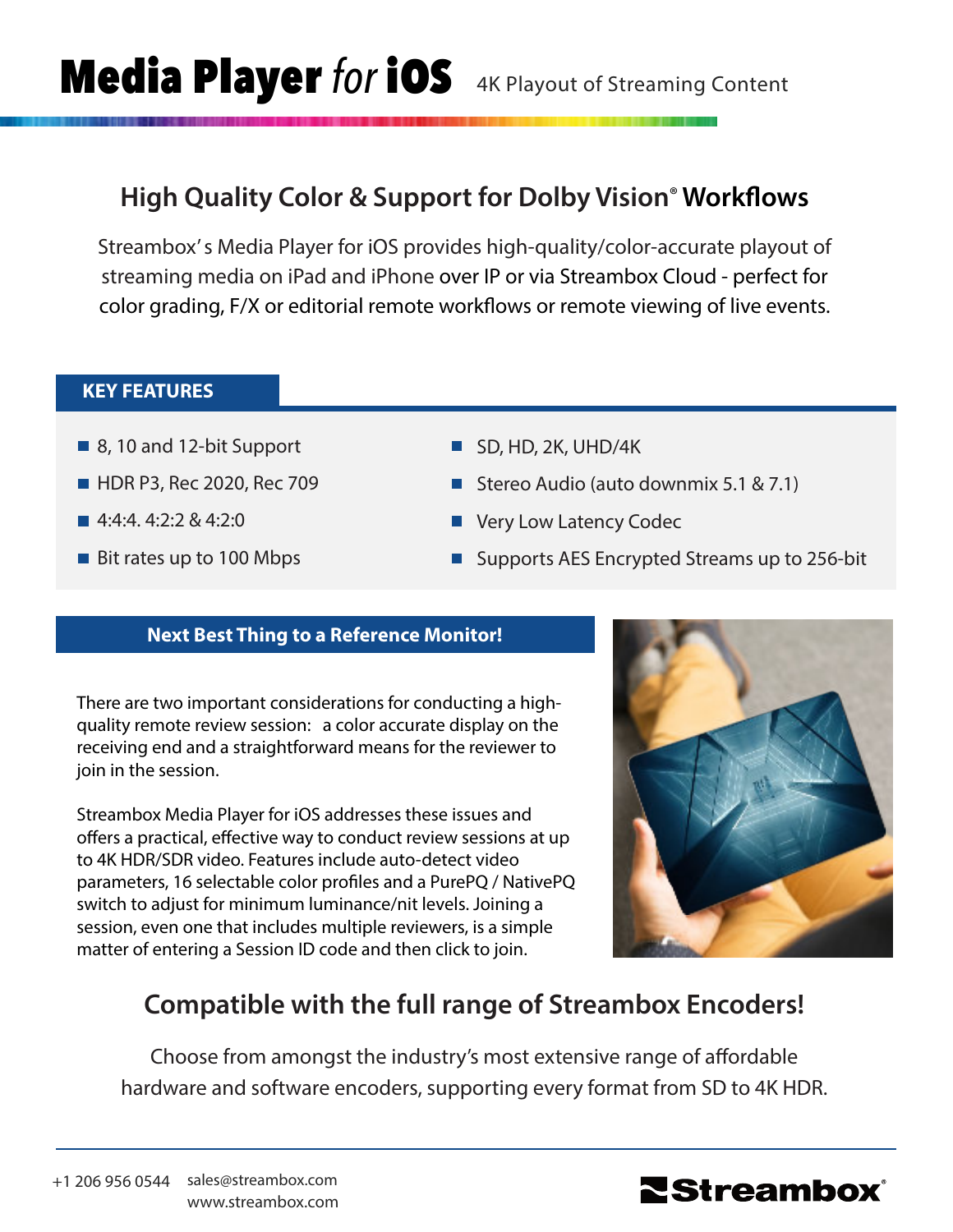## **High Quality Color & Support for Dolby Vision**® **Workflows**

Streambox' s Media Player for iOS provides high-quality/color-accurate playout of streaming media on iPad and iPhone over IP or via Streambox Cloud - perfect for color grading, F/X or editorial remote workflows or remote viewing of live events.

### **KEY FEATURES**

- 8, 10 and 12-bit Support
- **HDR P3, Rec 2020, Rec 709**
- 4:4:4. 4:2:2 & 4:2:0
- Bit rates up to 100 Mbps
- SD, HD, 2K, UHD/4K
- Stereo Audio (auto downmix 5.1 & 7.1)
- Very Low Latency Codec
- Supports AES Encrypted Streams up to 256-bit

### **Next Best Thing to a Reference Monitor!**

There are two important considerations for conducting a highquality remote review session: a color accurate display on the receiving end and a straightforward means for the reviewer to join in the session.

Streambox Media Player for iOS addresses these issues and offers a practical, effective way to conduct review sessions at up to 4K HDR/SDR video. Features include auto-detect video parameters, 16 selectable color profiles and a PurePQ / NativePQ switch to adjust for minimum luminance/nit levels. Joining a session, even one that includes multiple reviewers, is a simple matter of entering a Session ID code and then click to join.



# **Compatible with the full range of Streambox Encoders!**

Choose from amongst the industry's most extensive range of affordable hardware and software encoders, supporting every format from SD to 4K HDR.

+1 206 956 0544